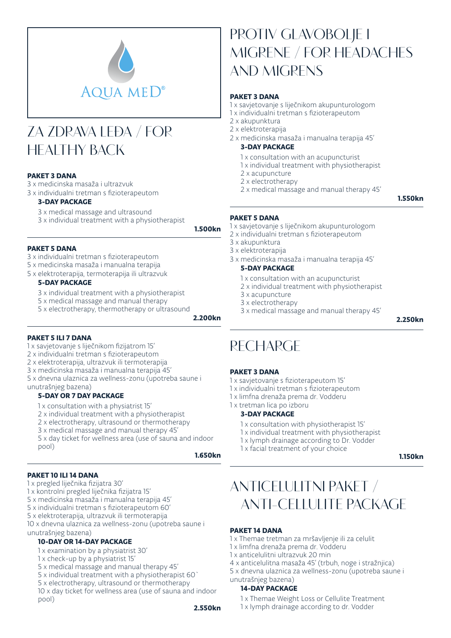

# **ZA ZDRAVA LEĐA / FOR HEALTHY BACK**

### PAKET 3 DANA

3 x medicinska masaža i ultrazvuk

3 x individualni tretman s fizioterapeutom

#### 3-DAY PACKAGE

3 x medical massage and ultrasound

3 x individual treatment with a physiotherapist

1.500kn

#### PAKET 5 DANA

- 3 x individualni tretman s fizioterapeutom
- 5 x medicinska masaža i manualna terapija
- 5 x elektroterapija, termoterapija ili ultrazvuk

#### 5-DAY PACKAGE

- 3 x individual treatment with a physiotherapist
- 5 x medical massage and manual therapy
- 5 x electrotherapy, thermotherapy or ultrasound

2.200kn

### PAKET 5 ILI 7 DANA

- 1 x savjetovanje s liječnikom fizijatrom 15'
- 2 x individualni tretman s fizioterapeutom
- 2 x elektroterapija, ultrazvuk ili termoterapija
- 3 x medicinska masaža i manualna terapija 45'
- 5 x dnevna ulaznica za wellness-zonu (upotreba saune i unutrašnjeg bazena)

## 5-DAY OR 7 DAY PACKAGE

- 1 x consultation with a physiatrist 15'
- 2 x individual treatment with a physiotherapist
- 2 x electrotherapy, ultrasound or thermotherapy
- 3 x medical massage and manual therapy 45'
- 5 x day ticket for wellness area (use of sauna and indoor pool)

1.650kn

### PAKET 10 ILI 14 DANA

- 1 x pregled liječnika fizijatra 30'
- 1 x kontrolni pregled liječnika fizijatra 15'
- 5 x medicinska masaža i manualna terapija 45'
- 5 x individualni tretman s fizioterapeutom 60'
- 5 x elektroterapija, ultrazvuk ili termoterapija
- 10 x dnevna ulaznica za wellness-zonu (upotreba saune i unutrašnjeg bazena)

### 10-DAY OR 14-DAY PACKAGE

- 1 x examination by a physiatrist 30'
- 1 x check-up by a physiatrist 15'
- 5 x medical massage and manual therapy 45'
- 5 x individual treatment with a physiotherapist 60`
- 5 x electrotherapy, ultrasound or thermotherapy
- 10 x day ticket for wellness area (use of sauna and indoor pool)

## **PROTIV GLAVOBOLJE I MIGRENE / FOR HEADACHES AND MIGRENS**

#### PAKET 3 DANA

- 1 x savjetovanje s liječnikom akupunturologom
- 1 x individualni tretman s fizioterapeutom
- 2 x akupunktura
- 2 x elektroterapija
- 2 x medicinska masaža i manualna terapija 45'

### 3-DAY PACKAGE

- 1 x consultation with an acupuncturist
- 1 x individual treatment with physiotherapist
- 2 x acupuncture
- 2 x electrotherapy
- 2 x medical massage and manual therapy 45'

1.550kn

#### PAKET 5 DANA

- 1 x savjetovanje s liječnikom akupunturologom
- 2 x individualni tretman s fizioterapeutom
- 3 x akupunktura
- 3 x elektroterapija
- 3 x medicinska masaža i manualna terapija 45'

## 5-DAY PACKAGE

- 1 x consultation with an acupuncturist
- 2 x individual treatment with physiotherapist
- 3 x acupuncture
- 3 x electrotherapy
- 3 x medical massage and manual therapy 45'

2.250kn

## **RECHARGE**

### PAKET 3 DANA

- 1 x savjetovanje s fizioterapeutom 15'
- 1 x individualni tretman s fizioterapeutom
- 1 x limfna drenaža prema dr. Vodderu
- 1 x tretman lica po izboru

#### 3-DAY PACKAGE

- 1 x consultation with physiotherapist 15'
- 1 x individual treatment with physiotherapist
- 1 x lymph drainage according to Dr. Vodder
- 1 x facial treatment of your choice

1.150kn

## **ANTICELULITNI PAKET / ANTI-CELLULITE PACKAGE**

#### PAKET 14 DANA

- 1 x Themae tretman za mršavljenje ili za celulit
- 1 x limfna drenaža prema dr. Vodderu
- 1 x anticelulitni ultrazvuk 20 min
- 4 x anticelulitna masaža 45' (trbuh, noge i stražnjica)
- 5 x dnevna ulaznica za wellness-zonu (upotreba saune i unutrašnjeg bazena)

### 14-DAY PACKAGE

- 1 x Themae Weight Loss or Cellulite Treatment
- 1 x lymph drainage according to dr. Vodder
- 2.550kn